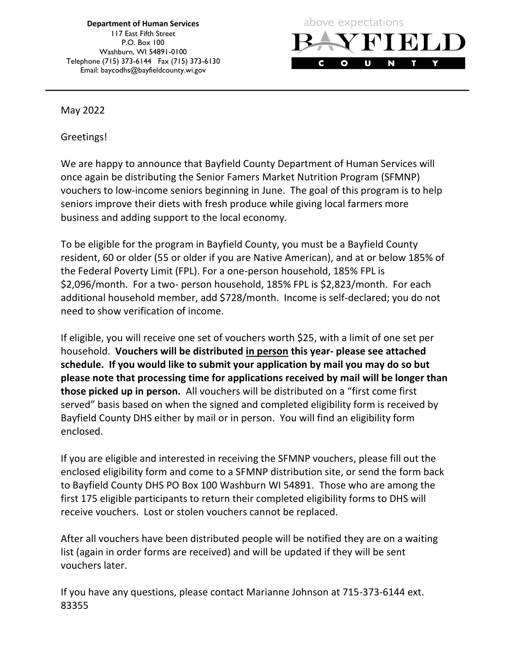**Department of Human Services** 117 East Fifth Street P.O. Box 100 Washburn, WI 54891-0100 Telephone (715) 373-6144 Fax (715) 373-6130 Email: baycodhs@bayfieldcounty.wi.gov



May 2022

Greetings!

We are happy to announce that Bayfield County Department of Human Services will once again be distributing the Senior Famers Market Nutrition Program (SFMNP) vouchers to low-income seniors beginning in June. The goal of this program is to help seniors improve their diets with fresh produce while giving local farmers more business and adding support to the local economy.

To be eligible for the program in Bayfield County, you must be a Bayfield County resident, 60 or older (55 or older if you are Native American), and at or below 185% of the Federal Poverty Limit (FPL). For a one-person household, 185% FPL is \$2,096/month. For a two- person household, 185% FPL is \$2,823/month. For each additional household member, add \$728/month. Income is self-declared; you do not need to show verification of income.

If eligible, you will receive one set of vouchers worth \$25, with a limit of one set per household. **Vouchers will be distributed in person this year- please see attached schedule. If you would like to submit your application by mail you may do so but please note that processing time for applications received by mail will be longer than those picked up in person.** All vouchers will be distributed on a "first come first served" basis based on when the signed and completed eligibility form is received by Bayfield County DHS either by mail or in person. You will find an eligibility form enclosed.

If you are eligible and interested in receiving the SFMNP vouchers, please fill out the enclosed eligibility form and come to a SFMNP distribution site, or send the form back to Bayfield County DHS PO Box 100 Washburn WI 54891. Those who are among the first 175 eligible participants to return their completed eligibility forms to DHS will receive vouchers. Lost or stolen vouchers cannot be replaced.

After all vouchers have been distributed people will be notified they are on a waiting list (again in order forms are received) and will be updated if they will be sent vouchers later.

If you have any questions, please contact Marianne Johnson at 715-373-6144 ext. 83355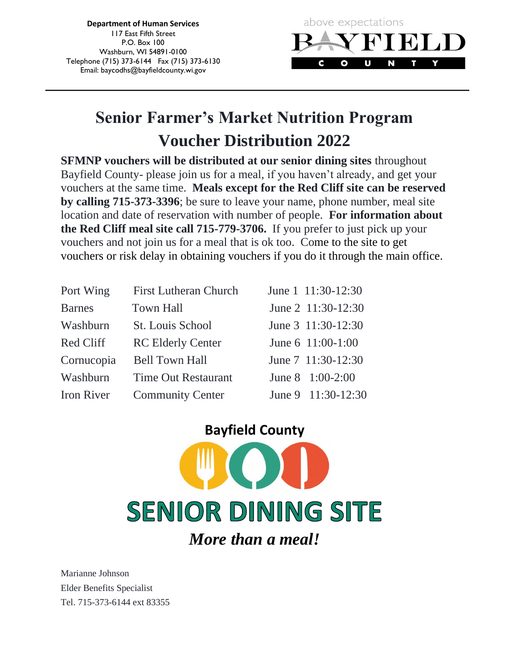**Department of Human Services** 117 East Fifth Street P.O. Box 100 Washburn, WI 54891-0100 Telephone (715) 373-6144 Fax (715) 373-6130 Email: baycodhs@bayfieldcounty.wi.gov



# **Senior Farmer's Market Nutrition Program Voucher Distribution 2022**

**SFMNP vouchers will be distributed at our senior dining sites** throughout Bayfield County- please join us for a meal, if you haven't already, and get your vouchers at the same time. **Meals except for the Red Cliff site can be reserved by calling 715-373-3396**; be sure to leave your name, phone number, meal site location and date of reservation with number of people. **For information about the Red Cliff meal site call 715-779-3706.** If you prefer to just pick up your vouchers and not join us for a meal that is ok too. Come to the site to get vouchers or risk delay in obtaining vouchers if you do it through the main office.

| Port Wing         | <b>First Lutheran Church</b> | June 1 11:30-12:30 |
|-------------------|------------------------------|--------------------|
| <b>Barnes</b>     | <b>Town Hall</b>             | June 2 11:30-12:30 |
| Washburn          | St. Louis School             | June 3 11:30-12:30 |
| Red Cliff         | <b>RC Elderly Center</b>     | June 6 11:00-1:00  |
| Cornucopia        | <b>Bell Town Hall</b>        | June 7 11:30-12:30 |
| Washburn          | <b>Time Out Restaurant</b>   | June 8 1:00-2:00   |
| <b>Iron River</b> | <b>Community Center</b>      | June 9 11:30-12:30 |

# **Bayfield County SENIOR DINING SITE** *More than a meal!*

Marianne Johnson Elder Benefits Specialist Tel. 715-373-6144 ext 83355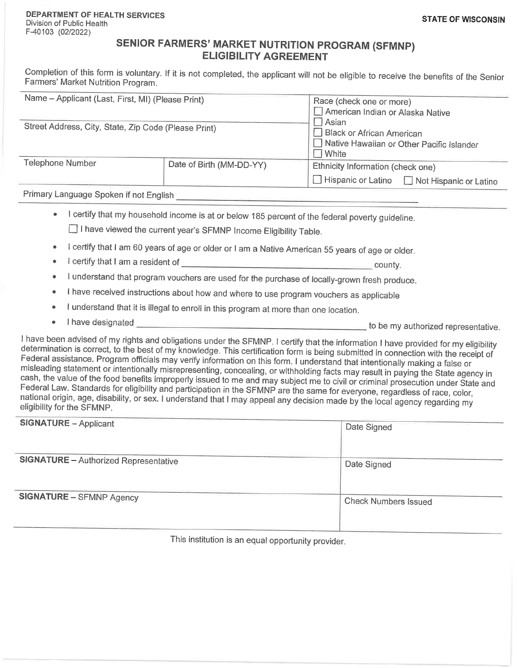#### SENIOR FARMERS' MARKET NUTRITION PROGRAM (SFMNP) **ELIGIBILITY AGREEMENT**

Completion of this form is voluntary. If it is not completed, the applicant will not be eligible to receive the benefits of the Senior Farmers' Market Nutrition Program.

| Name - Applicant (Last, First, MI) (Please Print)    |                          | Race (check one or more)                      |  |
|------------------------------------------------------|--------------------------|-----------------------------------------------|--|
|                                                      |                          | American Indian or Alaska Native              |  |
| Street Address, City, State, Zip Code (Please Print) |                          | Asian<br>$\Box$ Black or African American     |  |
|                                                      |                          |                                               |  |
|                                                      |                          | White                                         |  |
| Telephone Number                                     | Date of Birth (MM-DD-YY) | Ethnicity Information (check one)             |  |
|                                                      |                          | □ Hispanic or Latino □ Not Hispanic or Latino |  |
|                                                      |                          |                                               |  |

Primary Language Spoken if not English

I certify that my household income is at or below 185 percent of the federal poverty quideline.

□ I have viewed the current year's SFMNP Income Eligibility Table.

- I certify that I am 60 years of age or older or I am a Native American 55 years of age or older.  $\Delta$
- l certify that I am a resident of  $\bullet$  $\sim$  county.
- I understand that program vouchers are used for the purchase of locally-grown fresh produce.
- I have received instructions about how and where to use program vouchers as applicable  $\bullet$
- I understand that it is illegal to enroll in this program at more than one location.  $\bullet$
- $\bullet$

I have been advised of my rights and obligations under the SFMNP. I certify that the information I have provided for my eligibility determination is correct, to the best of my knowledge. This certification form is being submitted in connection with the receipt of Federal assistance. Program officials may verify information on this form. I understand that intentionally making a false or misleading statement or intentionally misrepresenting, concealing, or withholding facts may result in paying the State agency in cash, the value of the food benefits improperly issued to me and may subject me to civil or criminal prosecution under State and Federal Law. Standards for eligibility and participation in the SFMNP are the same for everyone, regardless of race, color, national origin, age, disability, or sex. I understand that I may appeal any decision made by the local agency regarding my eligibility for the SFMNP.

| <b>SIGNATURE - Applicant</b>                 | Date Signed                 |  |  |
|----------------------------------------------|-----------------------------|--|--|
|                                              |                             |  |  |
|                                              |                             |  |  |
|                                              |                             |  |  |
|                                              |                             |  |  |
|                                              |                             |  |  |
| <b>SIGNATURE</b> - Authorized Representative | Date Signed                 |  |  |
|                                              |                             |  |  |
|                                              |                             |  |  |
|                                              |                             |  |  |
|                                              |                             |  |  |
| <b>SIGNATURE - SFMNP Agency</b>              |                             |  |  |
|                                              | <b>Check Numbers Issued</b> |  |  |
|                                              |                             |  |  |
|                                              |                             |  |  |
|                                              |                             |  |  |
|                                              |                             |  |  |
|                                              |                             |  |  |

This institution is an equal opportunity provider.